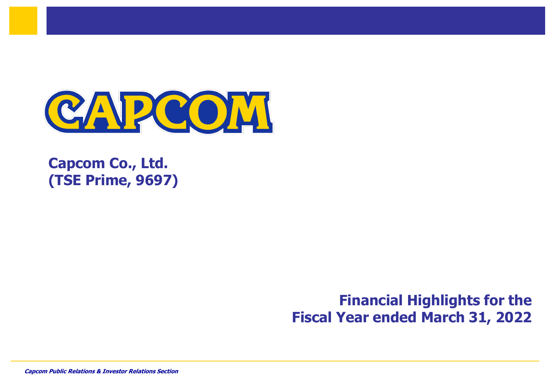

**Capcom Co., Ltd. (TSE Prime, 9697)**

> **Financial Highlights for the Fiscal Year ended March 31, 2022**

*Capcom Public Relations & Investor Relations Section* 0 **Capcom Public Relations & Investor Relations Section** 0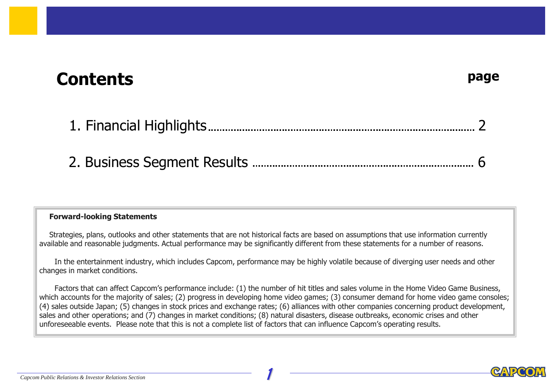# **Contents**

#### **Forward-looking Statements**

Strategies, plans, outlooks and other statements that are not historical facts are based on assumptions that use information currently available and reasonable judgments. Actual performance may be significantly different from these statements for a number of reasons.

In the entertainment industry, which includes Capcom, performance may be highly volatile because of diverging user needs and other changes in market conditions.

Factors that can affect Capcom's performance include: (1) the number of hit titles and sales volume in the Home Video Game Business, which accounts for the majority of sales; (2) progress in developing home video games; (3) consumer demand for home video game consoles; (4) sales outside Japan; (5) changes in stock prices and exchange rates; (6) alliances with other companies concerning product development, sales and other operations; and (7) changes in market conditions; (8) natural disasters, disease outbreaks, economic crises and other unforeseeable events. Please note that this is not a complete list of factors that can influence Capcom's operating results.

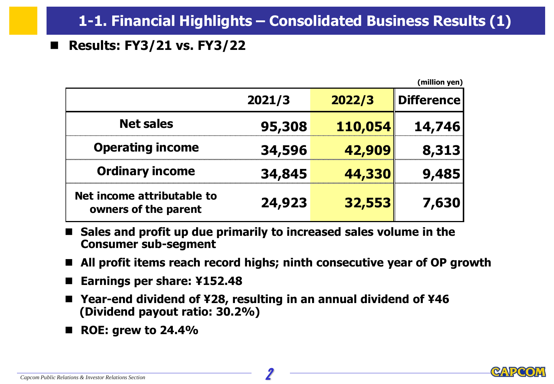# ■ **Results: FY3/21 vs. FY3/22**

|                                                    |        |         | (million yen)     |
|----------------------------------------------------|--------|---------|-------------------|
|                                                    | 2021/3 | 2022/3  | <b>Difference</b> |
| <b>Net sales</b>                                   | 95,308 | 110,054 | 14,746            |
| <b>Operating income</b>                            | 34,596 | 42,909  | 8,313             |
| <b>Ordinary income</b>                             | 34,845 | 44,330  | 9,485             |
| Net income attributable to<br>owners of the parent | 24,923 | 32,553  | 7,630             |

- Sales and profit up due primarily to increased sales volume in the **Consumer sub-segment**
- All profit items reach record highs; ninth consecutive year of OP growth
- ◼ **Earnings per share: ¥152.48**
- Year-end dividend of ¥28, resulting in an annual dividend of ¥46 **(Dividend payout ratio: 30.2%)**
- ◼ **ROE: grew to 24.4%**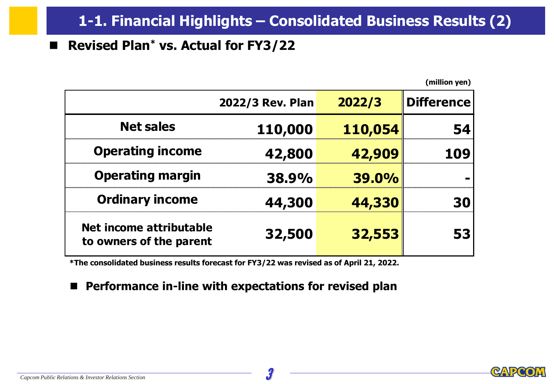# **1-1. Financial Highlights – Consolidated Business Results (2)**

#### ◼ **Revised Plan\* vs. Actual for FY3/22**

**(million yen)**

|                                                    | 2022/3 Rev. Plan | 2022/3       | <b>Difference</b> |
|----------------------------------------------------|------------------|--------------|-------------------|
| <b>Net sales</b>                                   | 110,000          | 110,054      |                   |
| <b>Operating income</b>                            | 42,800           | 42,909       |                   |
| <b>Operating margin</b>                            | <b>38.9%</b>     | <b>39.0%</b> |                   |
| <b>Ordinary income</b>                             | 44,300           | 44,330       |                   |
| Net income attributable<br>to owners of the parent | 32,500           | 32,553       |                   |

**\*The consolidated business results forecast for FY3/22 was revised as of April 21, 2022.**

#### ■ Performance in-line with expectations for revised plan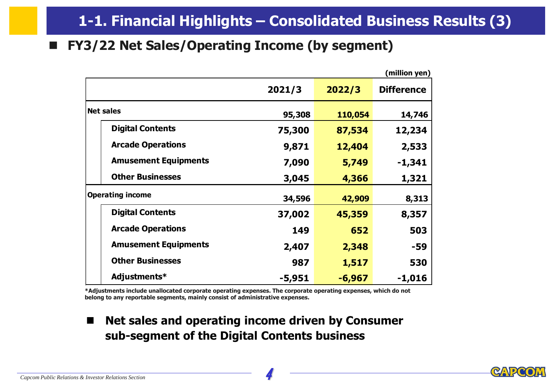#### ■ **FY3/22 Net Sales/Operating Income (by segment)**

|                             |        |          | (million yen)     |
|-----------------------------|--------|----------|-------------------|
|                             | 2021/3 | 2022/3   | <b>Difference</b> |
| <b>Net sales</b>            | 95,308 | 110,054  | 14,746            |
| <b>Digital Contents</b>     | 75,300 | 87,534   | 12,234            |
| <b>Arcade Operations</b>    | 9,871  | 12,404   | 2,533             |
| <b>Amusement Equipments</b> | 7,090  | 5,749    | $-1,341$          |
| <b>Other Businesses</b>     | 3,045  | 4,366    | 1,321             |
| <b>Operating income</b>     | 34,596 | 42,909   | 8,313             |
| <b>Digital Contents</b>     | 37,002 | 45,359   | 8,357             |
| <b>Arcade Operations</b>    | 149    | 652      | 503               |
| <b>Amusement Equipments</b> | 2,407  | 2,348    | -59               |
| <b>Other Businesses</b>     | 987    | 1,517    | 530               |
| Adjustments*                | -5,951 | $-6,967$ | $-1,016$          |

**\*Adjustments include unallocated corporate operating expenses. The corporate operating expenses, which do not belong to any reportable segments, mainly consist of administrative expenses.**

■ Net sales and operating income driven by Consumer **sub-segment of the Digital Contents business**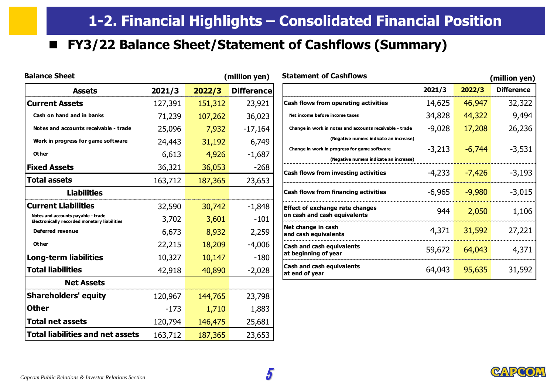# ◼ **FY3/22 Balance Sheet/Statement of Cashflows (Summary)**

| <b>Balance Sheet</b>                                                               |         |         | (million yen)     | <b>Statement of Cashflows</b>                         |
|------------------------------------------------------------------------------------|---------|---------|-------------------|-------------------------------------------------------|
| <b>Assets</b>                                                                      | 2021/3  | 2022/3  | <b>Difference</b> |                                                       |
| <b>Current Assets</b>                                                              | 127,391 | 151,312 | 23,921            | Cash flows from operating ao                          |
| Cash on hand and in banks                                                          | 71,239  | 107,262 | 36,023            | Net income before income taxes                        |
| Notes and accounts receivable - trade                                              | 25,096  | 7,932   | $-17,164$         | Change in work in notes and accour                    |
| Work in progress for game software                                                 | 24,443  | 31,192  | 6,749             | (Negative numer                                       |
| Other                                                                              | 6,613   | 4,926   | $-1,687$          | Change in work in progress for gam<br>(Negative numer |
| <b>Fixed Assets</b>                                                                | 36,321  | 36,053  | $-268$            | <b>Cash flows from investing ac</b>                   |
| <b>Total assets</b>                                                                | 163,712 | 187,365 | 23,653            |                                                       |
| <b>Liabilities</b>                                                                 |         |         |                   | Cash flows from financing ac                          |
| <b>Current Liabilities</b>                                                         | 32,590  | 30,742  | $-1,848$          | Effect of exchange rate chan                          |
| Notes and accounts payable - trade<br>Electronically recorded monetary liabilities | 3,702   | 3,601   | $-101$            | on cash and cash equivalents                          |
| <b>Deferred revenue</b>                                                            | 6,673   | 8,932   | 2,259             | Net change in cash<br>and cash equivalents            |
| Other                                                                              | 22,215  | 18,209  | $-4,006$          | <b>Cash and cash equivalents</b>                      |
| <b>Long-term liabilities</b>                                                       | 10,327  | 10,147  | $-180$            | at beginning of year                                  |
| <b>Total liabilities</b>                                                           | 42,918  | 40,890  | $-2,028$          | <b>Cash and cash equivalents</b><br>at end of year    |
| <b>Net Assets</b>                                                                  |         |         |                   |                                                       |
| <b>Shareholders' equity</b>                                                        | 120,967 | 144,765 | 23,798            |                                                       |
| <b>Other</b>                                                                       | $-173$  | 1,710   | 1,883             |                                                       |
| <b>Total net assets</b>                                                            | 120,794 | 146,475 | 25,681            |                                                       |
| <b>Total liabilities and net assets</b>                                            | 163,712 | 187,365 | 23,653            |                                                       |

| <b>Statement of Cashflows</b>                                          |          |          | (million yen)     |
|------------------------------------------------------------------------|----------|----------|-------------------|
|                                                                        | 2021/3   | 2022/3   | <b>Difference</b> |
| Cash flows from operating activities                                   | 14,625   | 46,947   | 32,322            |
| Net income before income taxes                                         | 34,828   | 44,322   | 9,494             |
| Change in work in notes and accounts receivable - trade                | $-9,028$ | 17,208   | 26,236            |
| (Negative numers indicate an increase)                                 |          |          |                   |
| Change in work in progress for game software                           | $-3,213$ | $-6,744$ | $-3,531$          |
| (Negative numers indicate an increase)                                 |          |          |                   |
| Cash flows from investing activities                                   | -4,233   | $-7,426$ | $-3,193$          |
| Cash flows from financing activities                                   | -6,965   | $-9,980$ | $-3,015$          |
| <b>Effect of exchange rate changes</b><br>on cash and cash equivalents | 944      | 2,050    | 1,106             |
| Net change in cash<br>and cash equivalents                             | 4,371    | 31,592   | 27,221            |
| <b>Cash and cash equivalents</b><br>at beginning of year               | 59,672   | 64,043   | 4,371             |
| <b>Cash and cash equivalents</b><br>at end of year                     | 64,043   | 95,635   | 31,592            |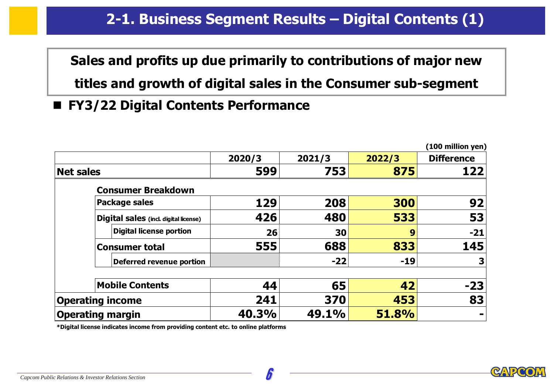# **2-1. Business Segment Results – Digital Contents (1)**

**Sales and profits up due primarily to contributions of major new**

**titles and growth of digital sales in the Consumer sub-segment**

■ **FY3/22 Digital Contents Performance** 

|                         |                                       |        |        |        | (100 million yen) |
|-------------------------|---------------------------------------|--------|--------|--------|-------------------|
|                         |                                       | 2020/3 | 2021/3 | 2022/3 | <b>Difference</b> |
| <b>Net sales</b>        |                                       | 599    | 753    | 875    | 122               |
|                         | <b>Consumer Breakdown</b>             |        |        |        |                   |
|                         | <b>Package sales</b>                  | 129    | 208    | 300    | 92                |
|                         | Digital sales (incl. digital license) | 426    | 480    | 533    | 53                |
|                         | Digital license portion               | 26     | 30     | 9      | $-21$             |
|                         | <b>Consumer total</b>                 | 555    | 688    | 833    | 145               |
|                         | Deferred revenue portion              |        | $-22$  | $-19$  | 3                 |
|                         | <b>Mobile Contents</b>                | 44     | 65     | 42     | $-23$             |
|                         | <b>Operating income</b>               | 241    | 370    | 453    | 83                |
| <b>Operating margin</b> |                                       | 40.3%  | 49.1%  | 51.8%  |                   |

**\*Digital license indicates income from providing content etc. to online platforms**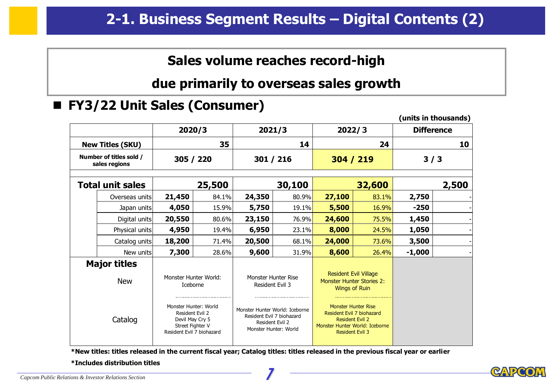### **Sales volume reaches record-high**

#### **due primarily to overseas sales growth**

#### ■ **FY3/22 Unit Sales (Consumer)**

|                                          |                                                                                                              |        |                                |                                                                       |                                                                                                                                               |        |                   | (units in thousands) |
|------------------------------------------|--------------------------------------------------------------------------------------------------------------|--------|--------------------------------|-----------------------------------------------------------------------|-----------------------------------------------------------------------------------------------------------------------------------------------|--------|-------------------|----------------------|
|                                          | 2020/3                                                                                                       |        |                                | 2021/3                                                                | 2022/3                                                                                                                                        |        | <b>Difference</b> |                      |
| <b>New Titles (SKU)</b>                  |                                                                                                              | 35     |                                | 14                                                                    |                                                                                                                                               | 24     |                   | 10                   |
| Number of titles sold /<br>sales regions | 305 / 220                                                                                                    |        |                                | 301 / 216                                                             | 304 / 219                                                                                                                                     |        | 3/3               |                      |
| <b>Total unit sales</b>                  |                                                                                                              | 25,500 |                                | 30,100                                                                |                                                                                                                                               | 32,600 |                   | 2,500                |
| Overseas units                           | 21,450                                                                                                       | 84.1%  | 24,350                         | 80.9%                                                                 | 27,100                                                                                                                                        | 83.1%  | 2,750             |                      |
| Japan units                              | 4,050                                                                                                        | 15.9%  | 5,750                          | 19.1%                                                                 | 5,500                                                                                                                                         | 16.9%  | $-250$            |                      |
| Digital units                            | 20,550                                                                                                       | 80.6%  | 23,150                         | 76.9%                                                                 | 24,600                                                                                                                                        | 75.5%  | 1,450             |                      |
| Physical units                           | 4,950                                                                                                        | 19.4%  | 6,950                          | 23.1%                                                                 | 8,000                                                                                                                                         | 24.5%  | 1,050             |                      |
| Catalog units                            | 18,200                                                                                                       | 71.4%  | 20,500                         | 68.1%                                                                 | 24,000                                                                                                                                        | 73.6%  | 3,500             |                      |
| New units                                | 7,300                                                                                                        | 28.6%  | 9,600                          | 31.9%                                                                 | 8,600                                                                                                                                         | 26.4%  | $-1,000$          |                      |
| <b>Major titles</b>                      |                                                                                                              |        |                                |                                                                       |                                                                                                                                               |        |                   |                      |
| <b>New</b>                               | Monster Hunter World:<br>Iceborne                                                                            |        | Resident Evil 3                | Monster Hunter Rise                                                   | <b>Resident Evil Village</b><br><b>Monster Hunter Stories 2:</b><br><b>Wings of Ruin</b>                                                      |        |                   |                      |
| Catalog                                  | Monster Hunter: World<br>Resident Evil 2<br>Devil May Cry 5<br>Street Fighter V<br>Resident Evil 7 biohazard |        | Monster Hunter World: Iceborne | Resident Evil 7 biohazard<br>Resident Evil 2<br>Monster Hunter: World | <b>Monster Hunter Rise</b><br>Resident Evil 7 biohazard<br><b>Resident Evil 2</b><br>Monster Hunter World: Iceborne<br><b>Resident Evil 3</b> |        |                   |                      |

**\*New titles: titles released in the current fiscal year; Catalog titles: titles released in the previous fiscal year or earlier**

**\*Includes distribution titles**



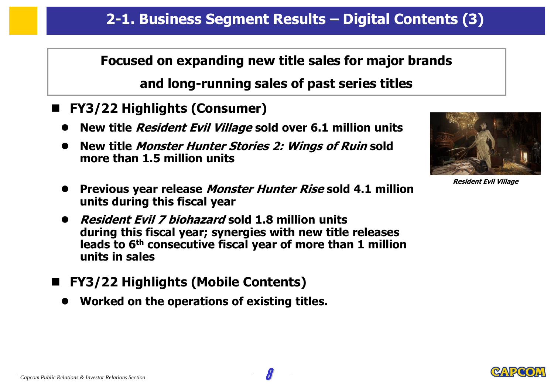### **Focused on expanding new title sales for major brands**

# **and long-running sales of past series titles**

- ◼ **FY3/22 Highlights (Consumer)**
	- ⚫ **New title Resident Evil Village sold over 6.1 million units**
	- ⚫ **New title Monster Hunter Stories 2: Wings of Ruin sold more than 1.5 million units**



**Resident Evil Village**

- ⚫ **Previous year release Monster Hunter Rise sold 4.1 million units during this fiscal year**
- ⚫ **Resident Evil 7 biohazard sold 1.8 million units during this fiscal year; synergies with new title releases leads to 6th consecutive fiscal year of more than 1 million units in sales**
- ◼ **FY3/22 Highlights (Mobile Contents)**
	- ⚫ **Worked on the operations of existing titles.**

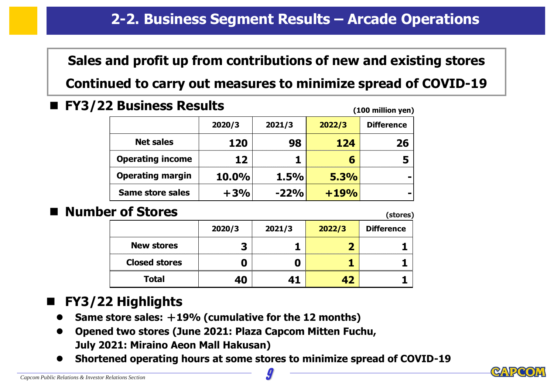**Sales and profit up from contributions of new and existing stores**

**Continued to carry out measures to minimize spread of COVID-19**

◼ **FY3/22 Business Results**

| (100 million yen)       |              |        |        |                   |  |  |
|-------------------------|--------------|--------|--------|-------------------|--|--|
|                         | 2020/3       | 2021/3 | 2022/3 | <b>Difference</b> |  |  |
| <b>Net sales</b>        | 120          | 98     | 124    | 26                |  |  |
| <b>Operating income</b> | 12           |        |        |                   |  |  |
| <b>Operating margin</b> | <b>10.0%</b> | 1.5%   | 5.3%   |                   |  |  |
| <b>Same store sales</b> | $+3%$        | $-22%$ | $+19%$ |                   |  |  |

# **Number of Stores** *(stores)*

**(100 million yen)**

|                      | . <del>.</del> |        |        |                   |  |
|----------------------|----------------|--------|--------|-------------------|--|
|                      | 2020/3         | 2021/3 | 2022/3 | <b>Difference</b> |  |
|                      |                |        |        |                   |  |
| <b>New stores</b>    | э              |        |        |                   |  |
| <b>Closed stores</b> |                |        |        |                   |  |
| <b>Total</b>         | 40             |        |        |                   |  |

# ◼ **FY3/22 Highlights**

- ⚫ **Same store sales:** +**19% (cumulative for the 12 months)**
- ⚫ **Opened two stores (June 2021: Plaza Capcom Mitten Fuchu, July 2021: Miraino Aeon Mall Hakusan)**
- ⚫ **Shortened operating hours at some stores to minimize spread of COVID-19**



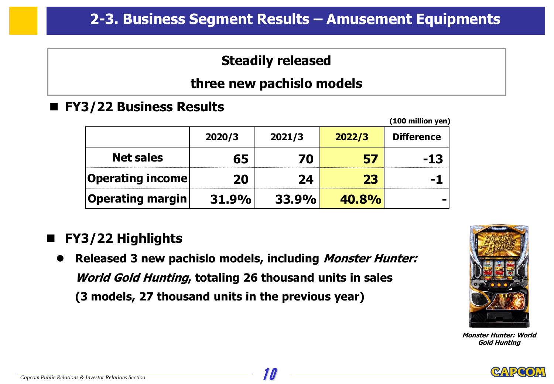# **Steadily released**

### **three new pachislo models**

■ **FY3/22 Business Results** 

| (100 million yen) |        |        |              |                   |
|-------------------|--------|--------|--------------|-------------------|
|                   | 2020/3 | 2021/3 | 2022/3       | <b>Difference</b> |
| <b>Net sales</b>  | 65     | 70     | 57           | -13               |
| Operating income  | 20     | 24     | 23           |                   |
| Operating margin  | 31.9%  | 33.9%  | <b>40.8%</b> |                   |

# ◼ **FY3/22 Highlights**

⚫ **Released 3 new pachislo models, including Monster Hunter: World Gold Hunting, totaling 26 thousand units in sales (3 models, 27 thousand units in the previous year)**



**Monster Hunter: World Gold Hunting**